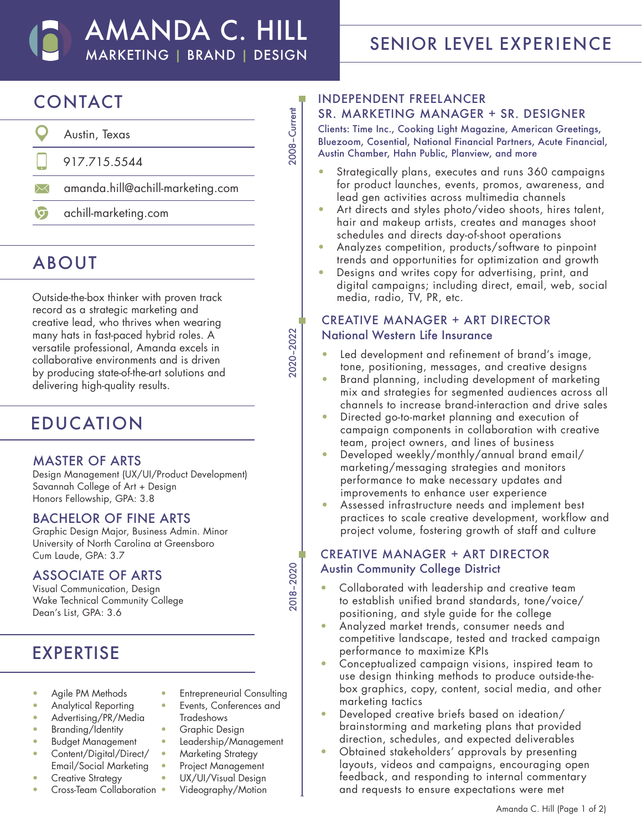## AMANDA C. HILL MARKETING | BRAND | DESIGN

2008–Current

2008-Current

2020–2022

020-2022

2018–2020

2018-2020

# SENIOR LEVEL EXPERIENCE

# CONTACT

- $\mathbf O$ Austin, Texas 917.715.5544 amanda.hill@achill-marketing.com  $\boxtimes$
- $\circ$ achill-marketing.com

## ABOUT

Outside-the-box thinker with proven track record as a strategic marketing and creative lead, who thrives when wearing many hats in fast-paced hybrid roles. A versatile professional, Amanda excels in collaborative environments and is driven by producing state-of-the-art solutions and delivering high-quality results.

## EDUCATION

#### MASTER OF ARTS

Design Management (UX/UI/Product Development) Savannah College of Art + Design Honors Fellowship, GPA: 3.8

#### BACHELOR OF FINE ARTS

Graphic Design Major, Business Admin. Minor University of North Carolina at Greensboro Cum Laude, GPA: 3.7

#### ASSOCIATE OF ARTS

Visual Communication, Design Wake Technical Community College Dean's List, GPA: 3.6

## EXPERTISE

- Agile PM Methods
- Analytical Reporting
- Advertising/PR/Media
- Branding/Identity
- Budget Management
- Content/Digital/Direct/ Email/Social Marketing
- Creative Strategy
- Cross-Team Collaboration
- Entrepreneurial Consulting • Events, Conferences and
- Tradeshows • Graphic Design
- Leadership/Management
- Marketing Strategy
- Project Management
- UX/UI/Visual Design
- Videography/Motion

#### INDEPENDENT FREELANCER SR. MARKETING MANAGER + SR. DESIGNER

Clients: Time Inc., Cooking Light Magazine, American Greetings, Bluezoom, Cosential, National Financial Partners, Acute Financial, Austin Chamber, Hahn Public, Planview, and more

- Strategically plans, executes and runs 360 campaigns for product launches, events, promos, awareness, and lead gen activities across multimedia channels
- Art directs and styles photo/video shoots, hires talent, hair and makeup artists, creates and manages shoot schedules and directs day-of-shoot operations
- Analyzes competition, products/software to pinpoint trends and opportunities for optimization and growth
- Designs and writes copy for advertising, print, and digital campaigns; including direct, email, web, social media, radio, TV, PR, etc.

#### CREATIVE MANAGER + ART DIRECTOR National Western Life Insurance

- Led development and refinement of brand's image, tone, positioning, messages, and creative designs
- Brand planning, including development of marketing mix and strategies for segmented audiences across all channels to increase brand-interaction and drive sales
- Directed go-to-market planning and execution of campaign components in collaboration with creative team, project owners, and lines of business
- Developed weekly/monthly/annual brand email/ marketing/messaging strategies and monitors performance to make necessary updates and improvements to enhance user experience
- Assessed infrastructure needs and implement best practices to scale creative development, workflow and project volume, fostering growth of staff and culture

### CREATIVE MANAGER + ART DIRECTOR Austin Community College District

- Collaborated with leadership and creative team to establish unified brand standards, tone/voice/ positioning, and style guide for the college
- Analyzed market trends, consumer needs and competitive landscape, tested and tracked campaign performance to maximize KPIs
- Conceptualized campaign visions, inspired team to use design thinking methods to produce outside-thebox graphics, copy, content, social media, and other marketing tactics
- Developed creative briefs based on ideation/ brainstorming and marketing plans that provided direction, schedules, and expected deliverables
- Obtained stakeholders' approvals by presenting layouts, videos and campaigns, encouraging open feedback, and responding to internal commentary and requests to ensure expectations were met